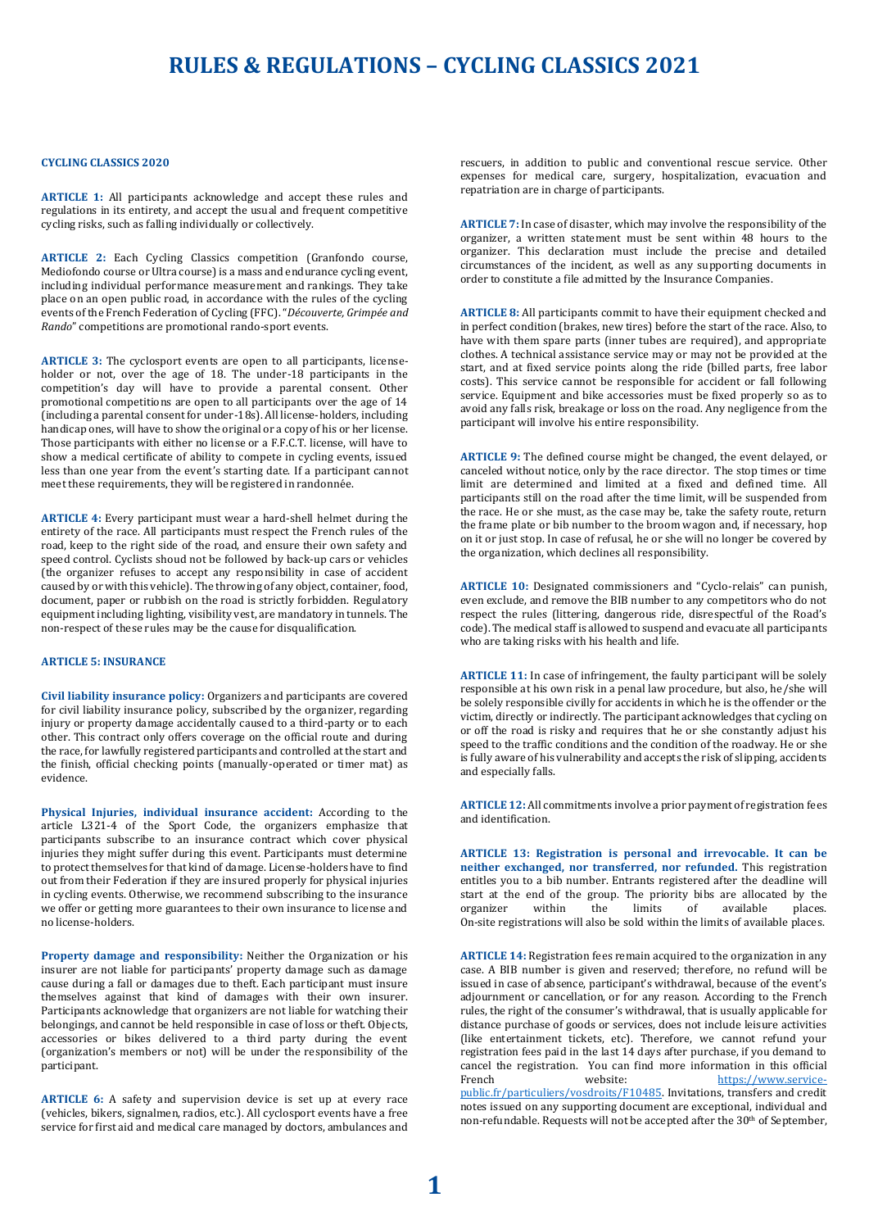## **RULES & REGULATIONS – CYCLING CLASSICS 2021**

#### **CYCLING CLASSICS 2020**

**ARTICLE 1:** All participants acknowledge and accept these rules and regulations in its entirety, and accept the usual and frequent competitive cycling risks, such as falling individually or collectively.

**ARTICLE 2:** Each Cycling Classics competition (Granfondo course, Mediofondo course or Ultra course) is a mass and endurance cycling event, including individual performance measurement and rankings. They take place on an open public road, in accordance with the rules of the cycling events of the French Federation of Cycling (FFC). "*Découverte, Grimpée and Rando*" competitions are promotional rando-sport events.

**ARTICLE 3:** The cyclosport events are open to all participants, licenseholder or not, over the age of 18. The under-18 participants in the competition's day will have to provide a parental consent. Other promotional competitions are open to all participants over the age of 14 (including a parental consent for under-18s). All license-holders, including handicap ones, will have to show the original or a copy of his or her license. Those participants with either no license or a F.F.C.T. license, will have to show a medical certificate of ability to compete in cycling events, issued less than one year from the event's starting date. If a participant cannot meet these requirements, they will be registered in randonnée.

**ARTICLE 4:** Every participant must wear a hard-shell helmet during the entirety of the race. All participants must respect the French rules of the road, keep to the right side of the road, and ensure their own safety and speed control. Cyclists shoud not be followed by back-up cars or vehicles (the organizer refuses to accept any responsibility in case of accident caused by or with this vehicle). The throwing of any object, container, food, document, paper or rubbish on the road is strictly forbidden. Regulatory equipment including lighting, visibility vest, are mandatory in tunnels. The non-respect of these rules may be the cause for disqualification.

### **ARTICLE 5: INSURANCE**

**Civil liability insurance policy:** Organizers and participants are covered for civil liability insurance policy, subscribed by the organizer, regarding injury or property damage accidentally caused to a third-party or to each other. This contract only offers coverage on the official route and during the race, for lawfully registered participants and controlled at the start and the finish, official checking points (manually-operated or timer mat) as evidence.

**Physical Injuries, individual insurance accident:** According to the article L321-4 of the Sport Code, the organizers emphasize that participants subscribe to an insurance contract which cover physical injuries they might suffer during this event. Participants must determine to protect themselves for that kind of damage. License-holders have to find out from their Federation if they are insured properly for physical injuries in cycling events. Otherwise, we recommend subscribing to the insurance we offer or getting more guarantees to their own insurance to license and no license-holders.

**Property damage and responsibility:** Neither the Organization or his insurer are not liable for participants' property damage such as damage cause during a fall or damages due to theft. Each participant must insure themselves against that kind of damages with their own insurer. Participants acknowledge that organizers are not liable for watching their belongings, and cannot be held responsible in case of loss or theft. Objects, accessories or bikes delivered to a third party during the event (organization's members or not) will be under the responsibility of the participant.

**ARTICLE 6:** A safety and supervision device is set up at every race (vehicles, bikers, signalmen, radios, etc.). All cyclosport events have a free service for first aid and medical care managed by doctors, ambulances and rescuers, in addition to public and conventional rescue service. Other expenses for medical care, surgery, hospitalization, evacuation and repatriation are in charge of participants.

**ARTICLE 7:** In case of disaster, which may involve the responsibility of the organizer, a written statement must be sent within 48 hours to the organizer. This declaration must include the precise and detailed circumstances of the incident, as well as any supporting documents in order to constitute a file admitted by the Insurance Companies.

**ARTICLE 8:** All participants commit to have their equipment checked and in perfect condition (brakes, new tires) before the start of the race. Also, to have with them spare parts (inner tubes are required), and appropriate clothes. A technical assistance service may or may not be provided at the start, and at fixed service points along the ride (billed parts, free labor costs). This service cannot be responsible for accident or fall following service. Equipment and bike accessories must be fixed properly so as to avoid any falls risk, breakage or loss on the road. Any negligence from the participant will involve his entire responsibility.

**ARTICLE 9:** The defined course might be changed, the event delayed, or canceled without notice, only by the race director. The stop times or time limit are determined and limited at a fixed and defined time. All participants still on the road after the time limit, will be suspended from the race. He or she must, as the case may be, take the safety route, return the frame plate or bib number to the broom wagon and, if necessary, hop on it or just stop. In case of refusal, he or she will no longer be covered by the organization, which declines all responsibility.

**ARTICLE 10:** Designated commissioners and "Cyclo-relais" can punish, even exclude, and remove the BIB number to any competitors who do not respect the rules (littering, dangerous ride, disrespectful of the Road's code). The medical staff is allowed to suspend and evacuate all participants who are taking risks with his health and life.

**ARTICLE 11:** In case of infringement, the faulty participant will be solely responsible at his own risk in a penal law procedure, but also, he/she will be solely responsible civilly for accidents in which he is the offender or the victim, directly or indirectly. The participant acknowledges that cycling on or off the road is risky and requires that he or she constantly adjust his speed to the traffic conditions and the condition of the roadway. He or she is fully aware of his vulnerability and accepts the risk of slipping, accidents and especially falls.

**ARTICLE 12:** All commitments involve a prior payment of registration fees and identification.

**ARTICLE 13: Registration is personal and irrevocable. It can be neither exchanged, nor transferred, nor refunded.** This registration entitles you to a bib number. Entrants registered after the deadline will start at the end of the group. The priority bibs are allocated by the organizer within the limits of available places. On-site registrations will also be sold within the limits of available places.

**ARTICLE 14:** Registration fees remain acquired to the organization in any case. A BIB number is given and reserved; therefore, no refund will be issued in case of absence, participant's withdrawal, because of the event's adjournment or cancellation, or for any reason. According to the French rules, the right of the consumer's withdrawal, that is usually applicable for distance purchase of goods or services, does not include leisure activities (like entertainment tickets, etc). Therefore, we cannot refund your registration fees paid in the last 14 days after purchase, if you demand to cancel the registration. You can find more information in this official French website: [https://www.service](https://www.service-public.fr/particuliers/vosdroits/F10485)[public.fr/particuliers/vosdroits/F10485.](https://www.service-public.fr/particuliers/vosdroits/F10485) Invitations, transfers and credit notes issued on any supporting document are exceptional, individual and non-refundable. Requests will not be accepted after the 30<sup>th</sup> of September,